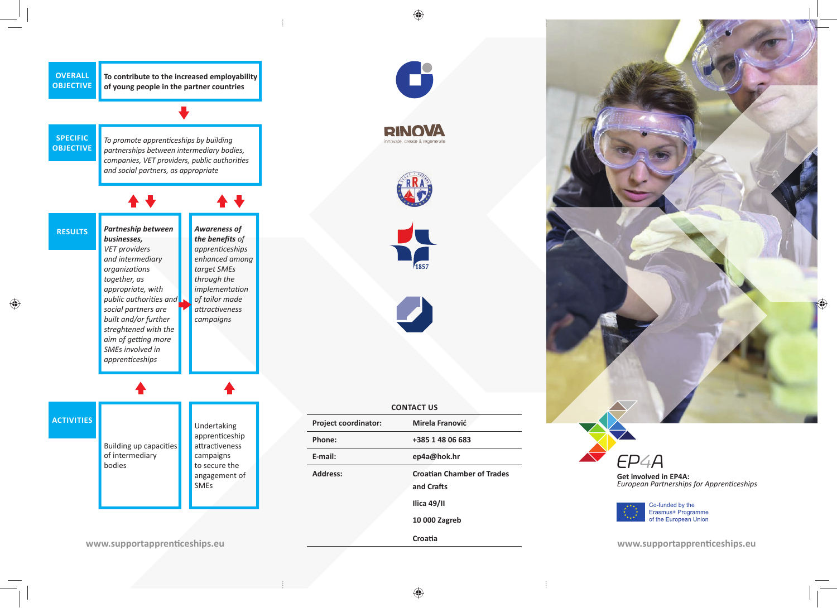

**To contribute to the increased employability of young people in the partner countries**

**SPECIFIC OBJECTIVE**

*To promote apprenticeships by building partnerships between intermediary bodies, companies, VET providers, public authoriƟ es and social partners, as appropriate*

*Partneship between businesses, VET providers and intermediary organizaƟ ons together, as appropriate, with public authorities and social partners are built and/or further streghtened with the*  aim of getting more *SMEs involved in apprenƟ ceships Awareness of*  **the benefits** of *apprenƟ ceships enhanced among target SMEs through the implementation of tailor made aƩ racƟ veness campaigns* **RESULTS**

**ACTIVITIES**

Building up capacities of intermediary bodies

Undertaking apprenticeship attractiveness campaigns to secure the angagement of SMEs











| <b>Project coordinator:</b> | Mirela Franović                                 |
|-----------------------------|-------------------------------------------------|
| Phone:                      | +385 1 48 06 683                                |
| E-mail:                     | ep4a@hok.hr                                     |
| <b>Address:</b>             | <b>Croatian Chamber of Trades</b><br>and Crafts |
|                             | Ilica $49/$ II                                  |
|                             | 10 000 Zagreb                                   |
|                             | Croatia                                         |

**CONTACT US**



**Get involved in EP4A:**  *<u>Zzimierica in Elimierici</u> in William School Buropean Partnerships for Apprenticeships* 



**www.supportapprenƟ ceships.eu**

**www.supportapprenƟ ceships.eu**